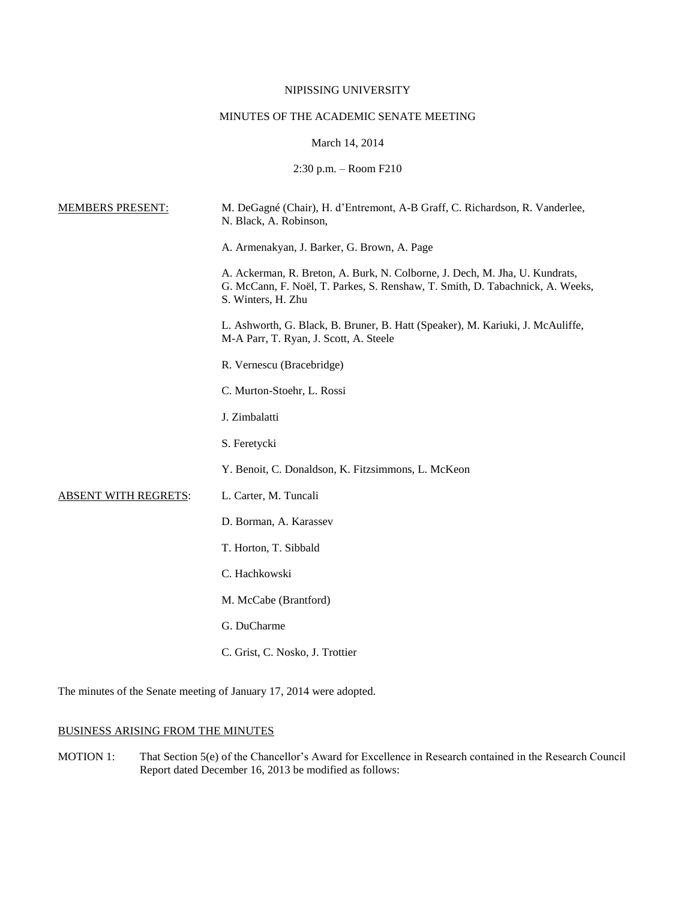#### NIPISSING UNIVERSITY

## MINUTES OF THE ACADEMIC SENATE MEETING

## March 14, 2014

2:30 p.m. – Room F210

| <b>MEMBERS PRESENT:</b>     | M. DeGagné (Chair), H. d'Entremont, A-B Graff, C. Richardson, R. Vanderlee,<br>N. Black, A. Robinson,                                                                              |  |  |
|-----------------------------|------------------------------------------------------------------------------------------------------------------------------------------------------------------------------------|--|--|
|                             | A. Armenakyan, J. Barker, G. Brown, A. Page                                                                                                                                        |  |  |
|                             | A. Ackerman, R. Breton, A. Burk, N. Colborne, J. Dech, M. Jha, U. Kundrats,<br>G. McCann, F. Noël, T. Parkes, S. Renshaw, T. Smith, D. Tabachnick, A. Weeks,<br>S. Winters, H. Zhu |  |  |
|                             | L. Ashworth, G. Black, B. Bruner, B. Hatt (Speaker), M. Kariuki, J. McAuliffe,<br>M-A Parr, T. Ryan, J. Scott, A. Steele                                                           |  |  |
|                             | R. Vernescu (Bracebridge)                                                                                                                                                          |  |  |
|                             | C. Murton-Stoehr, L. Rossi                                                                                                                                                         |  |  |
|                             | J. Zimbalatti                                                                                                                                                                      |  |  |
|                             | S. Feretycki                                                                                                                                                                       |  |  |
|                             | Y. Benoit, C. Donaldson, K. Fitzsimmons, L. McKeon                                                                                                                                 |  |  |
| <b>ABSENT WITH REGRETS:</b> | L. Carter, M. Tuncali                                                                                                                                                              |  |  |
|                             | D. Borman, A. Karassev                                                                                                                                                             |  |  |
|                             | T. Horton, T. Sibbald                                                                                                                                                              |  |  |
|                             | C. Hachkowski                                                                                                                                                                      |  |  |
|                             | M. McCabe (Brantford)                                                                                                                                                              |  |  |
|                             | G. DuCharme                                                                                                                                                                        |  |  |
|                             | C. Grist, C. Nosko, J. Trottier                                                                                                                                                    |  |  |
|                             |                                                                                                                                                                                    |  |  |

The minutes of the Senate meeting of January 17, 2014 were adopted.

## BUSINESS ARISING FROM THE MINUTES

MOTION 1: That Section 5(e) of the Chancellor's Award for Excellence in Research contained in the Research Council Report dated December 16, 2013 be modified as follows: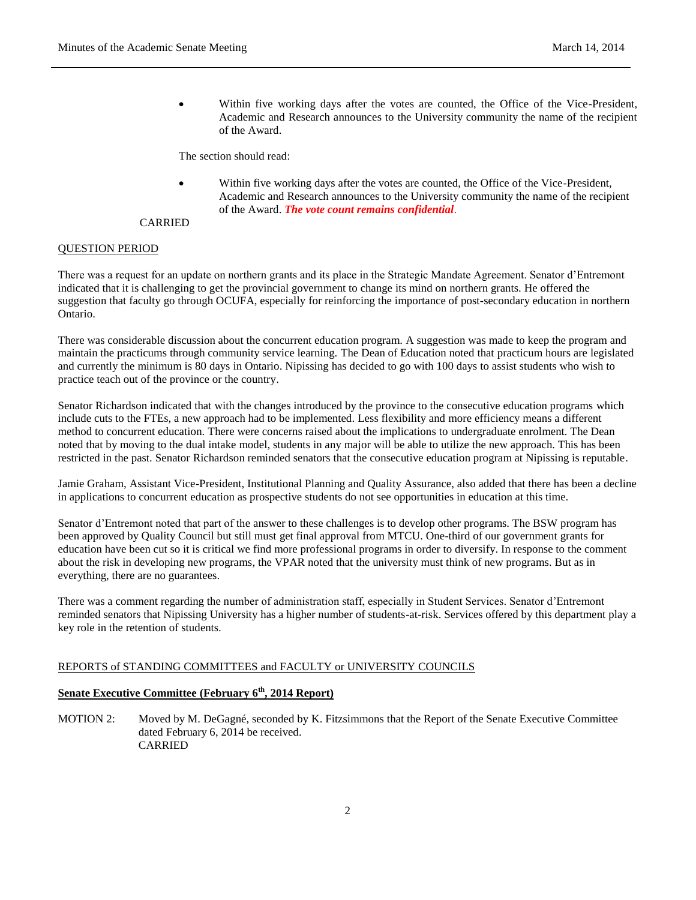Within five working days after the votes are counted, the Office of the Vice-President, Academic and Research announces to the University community the name of the recipient of the Award.

The section should read:

 Within five working days after the votes are counted, the Office of the Vice-President, Academic and Research announces to the University community the name of the recipient of the Award. *The vote count remains confidential*.

#### CARRIED

#### QUESTION PERIOD

There was a request for an update on northern grants and its place in the Strategic Mandate Agreement. Senator d'Entremont indicated that it is challenging to get the provincial government to change its mind on northern grants. He offered the suggestion that faculty go through OCUFA, especially for reinforcing the importance of post-secondary education in northern Ontario.

There was considerable discussion about the concurrent education program. A suggestion was made to keep the program and maintain the practicums through community service learning. The Dean of Education noted that practicum hours are legislated and currently the minimum is 80 days in Ontario. Nipissing has decided to go with 100 days to assist students who wish to practice teach out of the province or the country.

Senator Richardson indicated that with the changes introduced by the province to the consecutive education programs which include cuts to the FTEs, a new approach had to be implemented. Less flexibility and more efficiency means a different method to concurrent education. There were concerns raised about the implications to undergraduate enrolment. The Dean noted that by moving to the dual intake model, students in any major will be able to utilize the new approach. This has been restricted in the past. Senator Richardson reminded senators that the consecutive education program at Nipissing is reputable.

Jamie Graham, Assistant Vice-President, Institutional Planning and Quality Assurance, also added that there has been a decline in applications to concurrent education as prospective students do not see opportunities in education at this time.

Senator d'Entremont noted that part of the answer to these challenges is to develop other programs. The BSW program has been approved by Quality Council but still must get final approval from MTCU. One-third of our government grants for education have been cut so it is critical we find more professional programs in order to diversify. In response to the comment about the risk in developing new programs, the VPAR noted that the university must think of new programs. But as in everything, there are no guarantees.

There was a comment regarding the number of administration staff, especially in Student Services. Senator d'Entremont reminded senators that Nipissing University has a higher number of students-at-risk. Services offered by this department play a key role in the retention of students.

#### REPORTS of STANDING COMMITTEES and FACULTY or UNIVERSITY COUNCILS

## **Senate Executive Committee (February 6th, 2014 Report)**

MOTION 2: Moved by M. DeGagné, seconded by K. Fitzsimmons that the Report of the Senate Executive Committee dated February 6, 2014 be received. CARRIED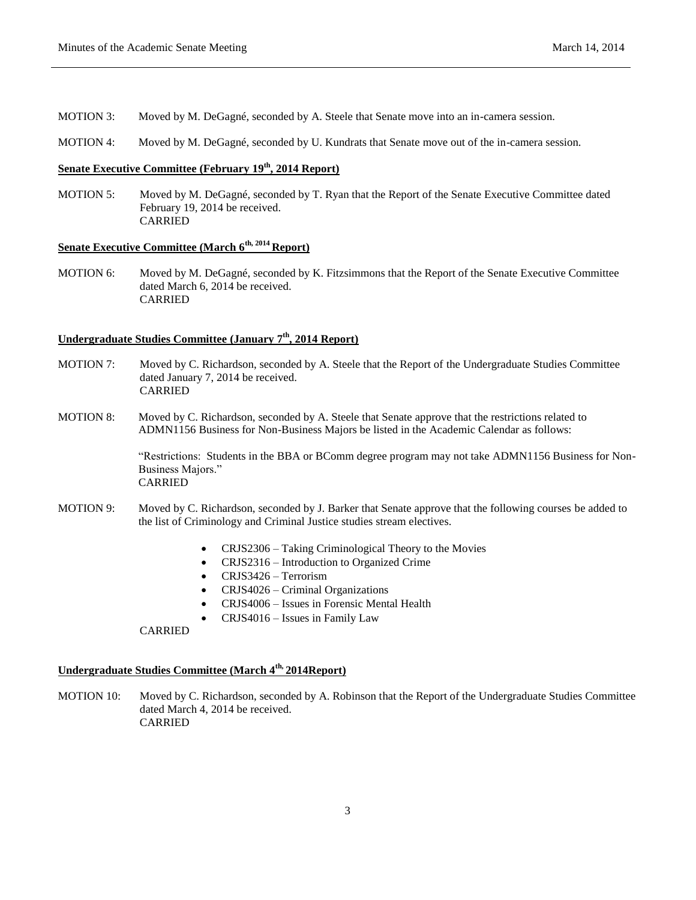MOTION 3: Moved by M. DeGagné, seconded by A. Steele that Senate move into an in-camera session.

MOTION 4: Moved by M. DeGagné, seconded by U. Kundrats that Senate move out of the in-camera session.

## **Senate Executive Committee (February 19th, 2014 Report)**

MOTION 5: Moved by M. DeGagné, seconded by T. Ryan that the Report of the Senate Executive Committee dated February 19, 2014 be received. CARRIED

### **Senate Executive Committee (March 6th, 2014 Report)**

MOTION 6: Moved by M. DeGagné, seconded by K. Fitzsimmons that the Report of the Senate Executive Committee dated March 6, 2014 be received. CARRIED

## **Undergraduate Studies Committee (January 7th, 2014 Report)**

- MOTION 7: Moved by C. Richardson, seconded by A. Steele that the Report of the Undergraduate Studies Committee dated January 7, 2014 be received. CARRIED
- MOTION 8: Moved by C. Richardson, seconded by A. Steele that Senate approve that the restrictions related to ADMN1156 Business for Non-Business Majors be listed in the Academic Calendar as follows:

"Restrictions: Students in the BBA or BComm degree program may not take ADMN1156 Business for Non-Business Majors." CARRIED

- MOTION 9: Moved by C. Richardson, seconded by J. Barker that Senate approve that the following courses be added to the list of Criminology and Criminal Justice studies stream electives.
	- CRJS2306 Taking Criminological Theory to the Movies
	- CRJS2316 Introduction to Organized Crime
	- CRJS3426 Terrorism
	- CRJS4026 Criminal Organizations
	- CRJS4006 Issues in Forensic Mental Health
	- CRJS4016 Issues in Family Law

CARRIED

### **Undergraduate Studies Committee (March 4th, 2014Report)**

MOTION 10: Moved by C. Richardson, seconded by A. Robinson that the Report of the Undergraduate Studies Committee dated March 4, 2014 be received. CARRIED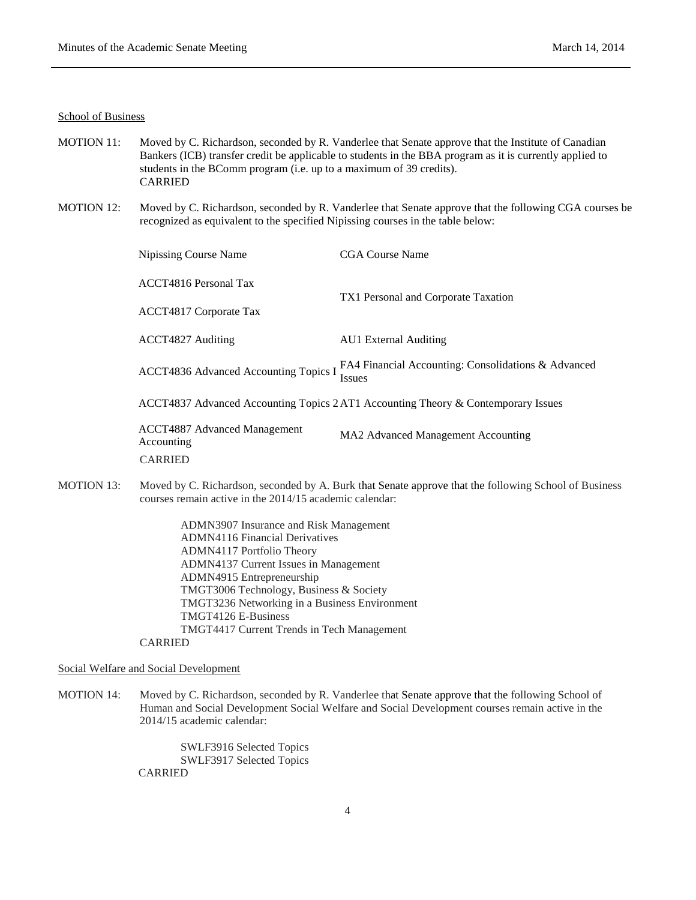#### School of Business

| <b>MOTION 11:</b> | Moved by C. Richardson, seconded by R. Vanderlee that Senate approve that the Institute of Canadian<br>Bankers (ICB) transfer credit be applicable to students in the BBA program as it is currently applied to<br>students in the BComm program (i.e. up to a maximum of 39 credits).<br><b>CARRIED</b> |                                     |  |  |  |
|-------------------|----------------------------------------------------------------------------------------------------------------------------------------------------------------------------------------------------------------------------------------------------------------------------------------------------------|-------------------------------------|--|--|--|
| <b>MOTION 12:</b> | Moved by C. Richardson, seconded by R. Vanderlee that Senate approve that the following CGA courses be<br>recognized as equivalent to the specified Nipissing courses in the table below:                                                                                                                |                                     |  |  |  |
|                   | Nipissing Course Name                                                                                                                                                                                                                                                                                    | <b>CGA Course Name</b>              |  |  |  |
|                   | <b>ACCT4816 Personal Tax</b>                                                                                                                                                                                                                                                                             |                                     |  |  |  |
|                   | <b>ACCT4817 Corporate Tax</b>                                                                                                                                                                                                                                                                            | TX1 Personal and Corporate Taxation |  |  |  |
|                   | ACCT4827 Auditing                                                                                                                                                                                                                                                                                        | <b>AU1</b> External Auditing        |  |  |  |
|                   | FA4 Financial Accounting: Consolidations & Advanced<br><b>ACCT4836 Advanced Accounting Topics I</b><br><b>Issues</b>                                                                                                                                                                                     |                                     |  |  |  |
|                   | ACCT4837 Advanced Accounting Topics 2AT1 Accounting Theory & Contemporary Issues                                                                                                                                                                                                                         |                                     |  |  |  |
|                   | <b>ACCT4887</b> Advanced Management<br>Accounting<br><b>CARRIED</b>                                                                                                                                                                                                                                      | MA2 Advanced Management Accounting  |  |  |  |
| <b>MOTION 13:</b> | Moved by C. Richardson, seconded by A. Burk that Senate approve that the following School of Business<br>courses remain active in the 2014/15 academic calendar:                                                                                                                                         |                                     |  |  |  |
|                   | ADMN3907 Insurance and Risk Management<br><b>ADMN4116 Financial Derivatives</b><br>ADMN4117 Portfolio Theory<br>ADMN4137 Current Issues in Management                                                                                                                                                    |                                     |  |  |  |

ADMN4137 Current Issues in Management ADMN4915 Entrepreneurship TMGT3006 Technology, Business & Society TMGT3236 Networking in a Business Environment TMGT4126 E-Business TMGT4417 Current Trends in Tech Management CARRIED

Social Welfare and Social Development

MOTION 14: Moved by C. Richardson, seconded by R. Vanderlee that Senate approve that the following School of Human and Social Development Social Welfare and Social Development courses remain active in the 2014/15 academic calendar:

> SWLF3916 Selected Topics SWLF3917 Selected Topics CARRIED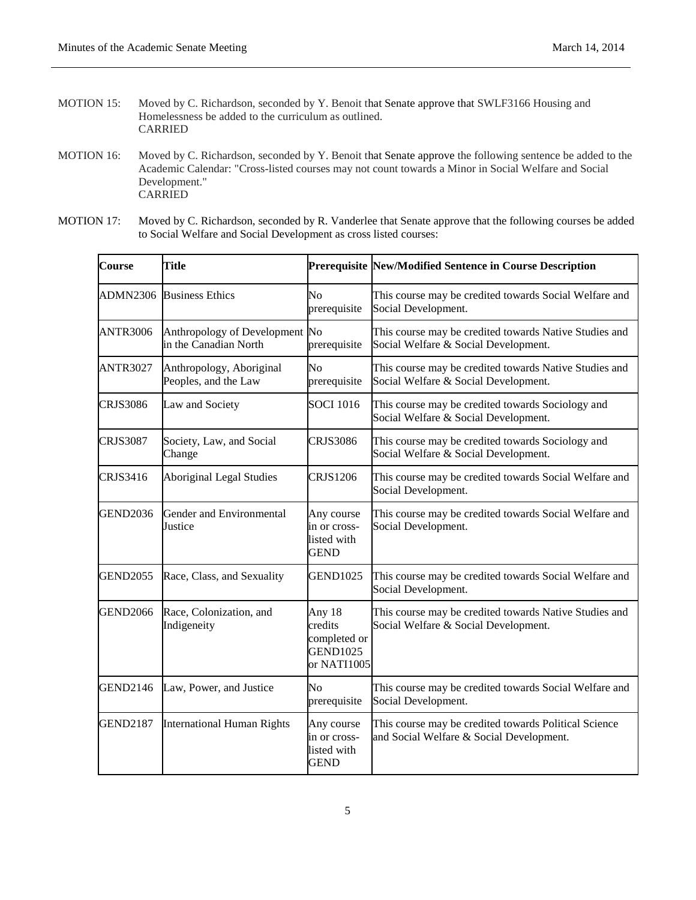- MOTION 15: Moved by C. Richardson, seconded by Y. Benoit that Senate approve that SWLF3166 Housing and Homelessness be added to the curriculum as outlined. CARRIED
- MOTION 16: Moved by C. Richardson, seconded by Y. Benoit that Senate approve the following sentence be added to the Academic Calendar: "Cross-listed courses may not count towards a Minor in Social Welfare and Social Development." **CARRIED**
- MOTION 17: Moved by C. Richardson, seconded by R. Vanderlee that Senate approve that the following courses be added to Social Welfare and Social Development as cross listed courses:

| <b>Course</b>   | <b>Title</b>                                            |                                                                     | <b>Prerequisite New/Modified Sentence in Course Description</b>                                   |
|-----------------|---------------------------------------------------------|---------------------------------------------------------------------|---------------------------------------------------------------------------------------------------|
|                 | <b>ADMN2306</b> Business Ethics                         | No<br>prerequisite                                                  | This course may be credited towards Social Welfare and<br>Social Development.                     |
| <b>ANTR3006</b> | Anthropology of Development No<br>in the Canadian North | prerequisite                                                        | This course may be credited towards Native Studies and<br>Social Welfare & Social Development.    |
| <b>ANTR3027</b> | Anthropology, Aboriginal<br>Peoples, and the Law        | No<br>prerequisite                                                  | This course may be credited towards Native Studies and<br>Social Welfare & Social Development.    |
| <b>CRJS3086</b> | Law and Society                                         | <b>SOCI 1016</b>                                                    | This course may be credited towards Sociology and<br>Social Welfare & Social Development.         |
| <b>CRJS3087</b> | Society, Law, and Social<br>Change                      | <b>CRJS3086</b>                                                     | This course may be credited towards Sociology and<br>Social Welfare & Social Development.         |
| CRJS3416        | <b>Aboriginal Legal Studies</b>                         | <b>CRJS1206</b>                                                     | This course may be credited towards Social Welfare and<br>Social Development.                     |
| <b>GEND2036</b> | Gender and Environmental<br>Justice                     | Any course<br>in or cross-<br>listed with<br><b>GEND</b>            | This course may be credited towards Social Welfare and<br>Social Development.                     |
| <b>GEND2055</b> | Race, Class, and Sexuality                              | <b>GEND1025</b>                                                     | This course may be credited towards Social Welfare and<br>Social Development.                     |
| <b>GEND2066</b> | Race, Colonization, and<br>Indigeneity                  | Any 18<br>credits<br>completed or<br><b>GEND1025</b><br>or NATI1005 | This course may be credited towards Native Studies and<br>Social Welfare & Social Development.    |
| <b>GEND2146</b> | Law, Power, and Justice                                 | No<br>prerequisite                                                  | This course may be credited towards Social Welfare and<br>Social Development.                     |
| <b>GEND2187</b> | <b>International Human Rights</b>                       | Any course<br>in or cross-<br>listed with<br><b>GEND</b>            | This course may be credited towards Political Science<br>and Social Welfare & Social Development. |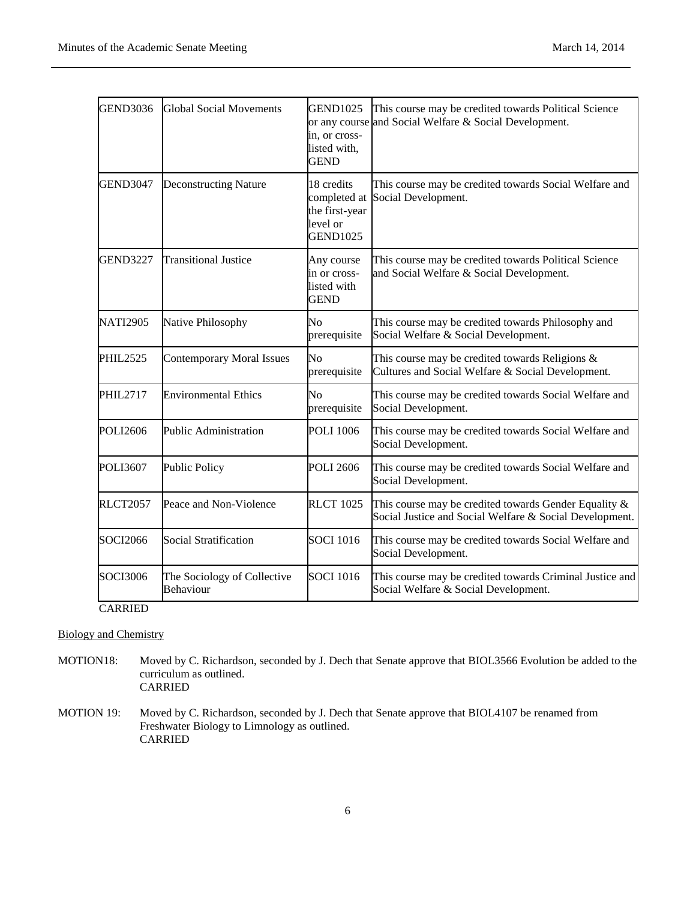| <b>GEND3036</b> | <b>Global Social Movements</b>           | <b>GEND1025</b><br>in, or cross-<br>listed with,<br><b>GEND</b>             | This course may be credited towards Political Science<br>or any course and Social Welfare & Social Development.  |
|-----------------|------------------------------------------|-----------------------------------------------------------------------------|------------------------------------------------------------------------------------------------------------------|
| <b>GEND3047</b> | <b>Deconstructing Nature</b>             | 18 credits<br>completed at<br>the first-year<br>level or<br><b>GEND1025</b> | This course may be credited towards Social Welfare and<br>Social Development.                                    |
| <b>GEND3227</b> | <b>Transitional Justice</b>              | Any course<br>in or cross-<br>listed with<br><b>GEND</b>                    | This course may be credited towards Political Science<br>and Social Welfare & Social Development.                |
| <b>NATI2905</b> | Native Philosophy                        | No<br>prerequisite                                                          | This course may be credited towards Philosophy and<br>Social Welfare & Social Development.                       |
| <b>PHIL2525</b> | <b>Contemporary Moral Issues</b>         | N <sub>0</sub><br>prerequisite                                              | This course may be credited towards Religions &<br>Cultures and Social Welfare & Social Development.             |
| <b>PHIL2717</b> | <b>Environmental Ethics</b>              | No<br>prerequisite                                                          | This course may be credited towards Social Welfare and<br>Social Development.                                    |
| POLI2606        | Public Administration                    | <b>POLI 1006</b>                                                            | This course may be credited towards Social Welfare and<br>Social Development.                                    |
| <b>POLI3607</b> | <b>Public Policy</b>                     | <b>POLI 2606</b>                                                            | This course may be credited towards Social Welfare and<br>Social Development.                                    |
| <b>RLCT2057</b> | Peace and Non-Violence                   | <b>RLCT 1025</b>                                                            | This course may be credited towards Gender Equality &<br>Social Justice and Social Welfare & Social Development. |
| <b>SOCI2066</b> | <b>Social Stratification</b>             | <b>SOCI 1016</b>                                                            | This course may be credited towards Social Welfare and<br>Social Development.                                    |
| <b>SOCI3006</b> | The Sociology of Collective<br>Behaviour | SOCI 1016                                                                   | This course may be credited towards Criminal Justice and<br>Social Welfare & Social Development.                 |

# **CARRIED**

## Biology and Chemistry

- MOTION18: Moved by C. Richardson, seconded by J. Dech that Senate approve that BIOL3566 Evolution be added to the curriculum as outlined. CARRIED
- MOTION 19: Moved by C. Richardson, seconded by J. Dech that Senate approve that BIOL4107 be renamed from Freshwater Biology to Limnology as outlined. CARRIED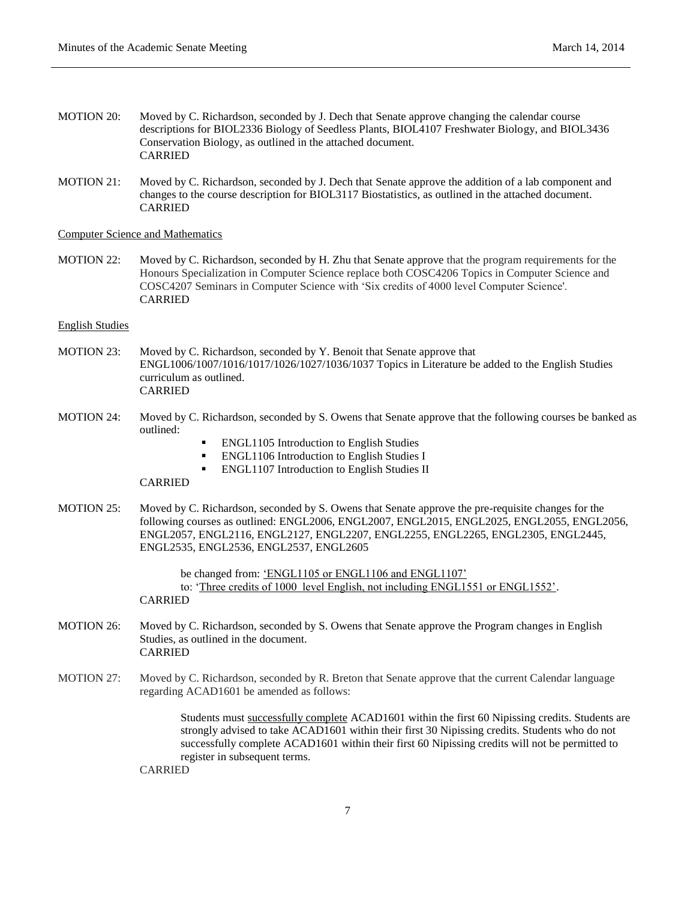- MOTION 20: Moved by C. Richardson, seconded by J. Dech that Senate approve changing the calendar course descriptions for BIOL2336 Biology of Seedless Plants, BIOL4107 Freshwater Biology, and BIOL3436 Conservation Biology, as outlined in the attached document. CARRIED
- MOTION 21: Moved by C. Richardson, seconded by J. Dech that Senate approve the addition of a lab component and changes to the course description for BIOL3117 Biostatistics, as outlined in the attached document. CARRIED

#### Computer Science and Mathematics

MOTION 22: Moved by C. Richardson, seconded by H. Zhu that Senate approve that the program requirements for the Honours Specialization in Computer Science replace both COSC4206 Topics in Computer Science and COSC4207 Seminars in Computer Science with 'Six credits of 4000 level Computer Science'. CARRIED

#### English Studies

- MOTION 23: Moved by C. Richardson, seconded by Y. Benoit that Senate approve that ENGL1006/1007/1016/1017/1026/1027/1036/1037 Topics in Literature be added to the English Studies curriculum as outlined. CARRIED
- MOTION 24: Moved by C. Richardson, seconded by S. Owens that Senate approve that the following courses be banked as outlined:
	- ENGL1105 Introduction to English Studies
	- ENGL1106 Introduction to English Studies I
	- ENGL1107 Introduction to English Studies II

#### CARRIED

MOTION 25: Moved by C. Richardson, seconded by S. Owens that Senate approve the pre-requisite changes for the following courses as outlined: ENGL2006, ENGL2007, ENGL2015, ENGL2025, ENGL2055, ENGL2056, ENGL2057, ENGL2116, ENGL2127, ENGL2207, ENGL2255, ENGL2265, ENGL2305, ENGL2445, ENGL2535, ENGL2536, ENGL2537, ENGL2605

> be changed from: 'ENGL1105 or ENGL1106 and ENGL1107' to: 'Three credits of 1000 level English, not including ENGL1551 or ENGL1552'. CARRIED

- MOTION 26: Moved by C. Richardson, seconded by S. Owens that Senate approve the Program changes in English Studies, as outlined in the document. CARRIED
- MOTION 27: Moved by C. Richardson, seconded by R. Breton that Senate approve that the current Calendar language regarding ACAD1601 be amended as follows:

Students must successfully complete ACAD1601 within the first 60 Nipissing credits. Students are strongly advised to take ACAD1601 within their first 30 Nipissing credits. Students who do not successfully complete ACAD1601 within their first 60 Nipissing credits will not be permitted to register in subsequent terms.

CARRIED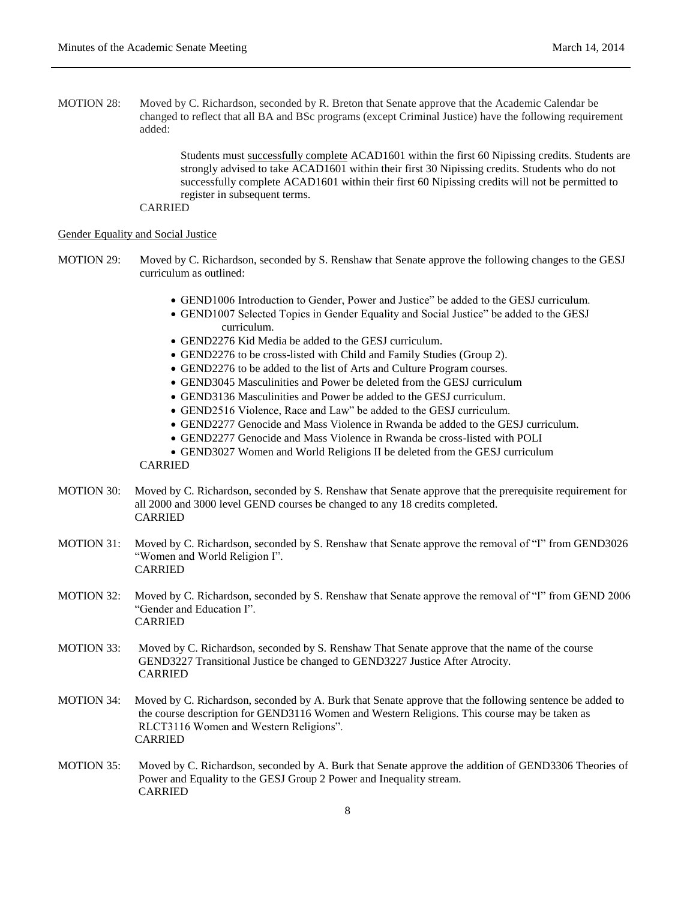MOTION 28: Moved by C. Richardson, seconded by R. Breton that Senate approve that the Academic Calendar be changed to reflect that all BA and BSc programs (except Criminal Justice) have the following requirement added:

> Students must successfully complete ACAD1601 within the first 60 Nipissing credits. Students are strongly advised to take ACAD1601 within their first 30 Nipissing credits. Students who do not successfully complete ACAD1601 within their first 60 Nipissing credits will not be permitted to register in subsequent terms.

CARRIED

#### Gender Equality and Social Justice

- MOTION 29: Moved by C. Richardson, seconded by S. Renshaw that Senate approve the following changes to the GESJ curriculum as outlined:
	- GEND1006 Introduction to Gender, Power and Justice" be added to the GESJ curriculum.
	- GEND1007 Selected Topics in Gender Equality and Social Justice" be added to the GESJ curriculum.
	- GEND2276 Kid Media be added to the GESJ curriculum.
	- GEND2276 to be cross-listed with Child and Family Studies (Group 2).
	- GEND2276 to be added to the list of Arts and Culture Program courses.
	- GEND3045 Masculinities and Power be deleted from the GESJ curriculum
	- GEND3136 Masculinities and Power be added to the GESJ curriculum.
	- GEND2516 Violence, Race and Law" be added to the GESJ curriculum.
	- GEND2277 Genocide and Mass Violence in Rwanda be added to the GESJ curriculum.
	- GEND2277 Genocide and Mass Violence in Rwanda be cross-listed with POLI
	- GEND3027 Women and World Religions II be deleted from the GESJ curriculum

#### CARRIED

- MOTION 30: Moved by C. Richardson, seconded by S. Renshaw that Senate approve that the prerequisite requirement for all 2000 and 3000 level GEND courses be changed to any 18 credits completed. CARRIED
- MOTION 31: Moved by C. Richardson, seconded by S. Renshaw that Senate approve the removal of "I" from GEND3026 "Women and World Religion I". CARRIED
- MOTION 32: Moved by C. Richardson, seconded by S. Renshaw that Senate approve the removal of "I" from GEND 2006 "Gender and Education I". CARRIED
- MOTION 33: Moved by C. Richardson, seconded by S. Renshaw That Senate approve that the name of the course GEND3227 Transitional Justice be changed to GEND3227 Justice After Atrocity. CARRIED
- MOTION 34: Moved by C. Richardson, seconded by A. Burk that Senate approve that the following sentence be added to the course description for GEND3116 Women and Western Religions. This course may be taken as RLCT3116 Women and Western Religions". CARRIED
- MOTION 35: Moved by C. Richardson, seconded by A. Burk that Senate approve the addition of GEND3306 Theories of Power and Equality to the GESJ Group 2 Power and Inequality stream. CARRIED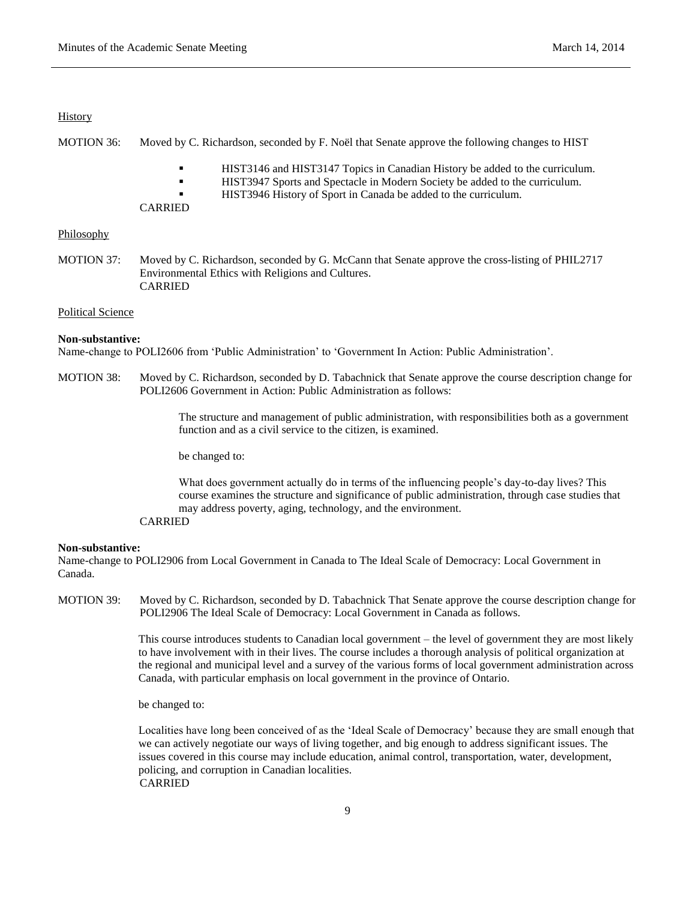#### **History**

MOTION 36: Moved by C. Richardson, seconded by F. Noël that Senate approve the following changes to HIST

- HIST3146 and HIST3147 Topics in Canadian History be added to the curriculum.
- HIST3947 Sports and Spectacle in Modern Society be added to the curriculum.
- HIST3946 History of Sport in Canada be added to the curriculum.

#### CARRIED

#### Philosophy

MOTION 37: Moved by C. Richardson, seconded by G. McCann that Senate approve the cross-listing of PHIL2717 Environmental Ethics with Religions and Cultures. CARRIED

#### Political Science

#### **Non-substantive:**

Name-change to POLI2606 from 'Public Administration' to 'Government In Action: Public Administration'.

MOTION 38: Moved by C. Richardson, seconded by D. Tabachnick that Senate approve the course description change for POLI2606 Government in Action: Public Administration as follows:

> The structure and management of public administration, with responsibilities both as a government function and as a civil service to the citizen, is examined.

be changed to:

What does government actually do in terms of the influencing people's day-to-day lives? This course examines the structure and significance of public administration, through case studies that may address poverty, aging, technology, and the environment.

### CARRIED

#### **Non-substantive:**

Name-change to POLI2906 from Local Government in Canada to The Ideal Scale of Democracy: Local Government in Canada.

MOTION 39: Moved by C. Richardson, seconded by D. Tabachnick That Senate approve the course description change for POLI2906 The Ideal Scale of Democracy: Local Government in Canada as follows.

> This course introduces students to Canadian local government – the level of government they are most likely to have involvement with in their lives. The course includes a thorough analysis of political organization at the regional and municipal level and a survey of the various forms of local government administration across Canada, with particular emphasis on local government in the province of Ontario.

be changed to:

Localities have long been conceived of as the 'Ideal Scale of Democracy' because they are small enough that we can actively negotiate our ways of living together, and big enough to address significant issues. The issues covered in this course may include education, animal control, transportation, water, development, policing, and corruption in Canadian localities. CARRIED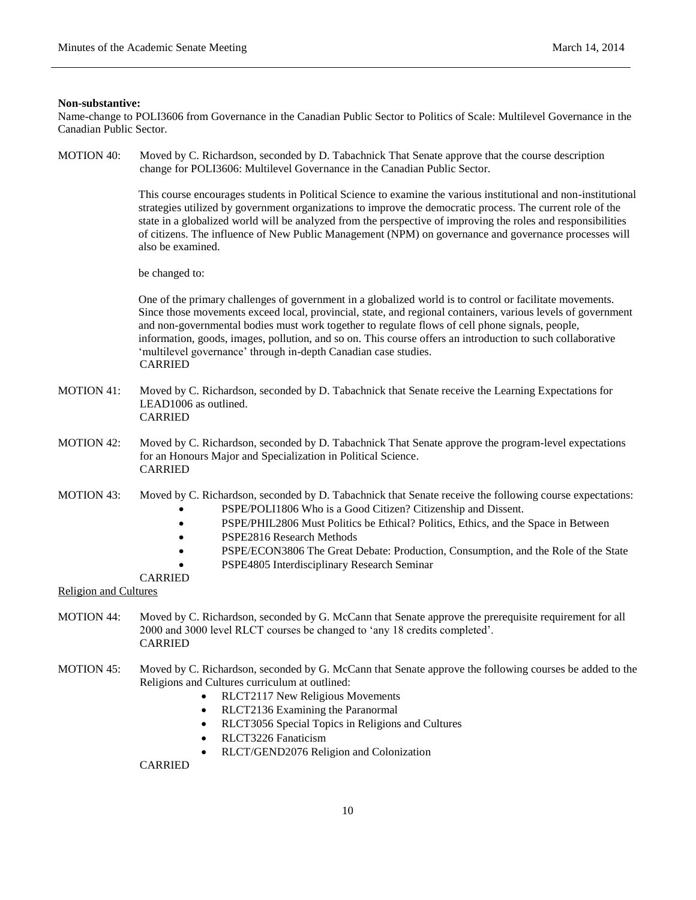#### **Non-substantive:**

Name-change to POLI3606 from Governance in the Canadian Public Sector to Politics of Scale: Multilevel Governance in the Canadian Public Sector.

| <b>MOTION 40:</b>            | Moved by C. Richardson, seconded by D. Tabachnick That Senate approve that the course description<br>change for POLI3606: Multilevel Governance in the Canadian Public Sector.                                                                                                                                                                                                                                                                                                                                                 |  |  |  |  |
|------------------------------|--------------------------------------------------------------------------------------------------------------------------------------------------------------------------------------------------------------------------------------------------------------------------------------------------------------------------------------------------------------------------------------------------------------------------------------------------------------------------------------------------------------------------------|--|--|--|--|
|                              | This course encourages students in Political Science to examine the various institutional and non-institutional<br>strategies utilized by government organizations to improve the democratic process. The current role of the<br>state in a globalized world will be analyzed from the perspective of improving the roles and responsibilities<br>of citizens. The influence of New Public Management (NPM) on governance and governance processes will<br>also be examined.                                                   |  |  |  |  |
|                              | be changed to:                                                                                                                                                                                                                                                                                                                                                                                                                                                                                                                 |  |  |  |  |
|                              | One of the primary challenges of government in a globalized world is to control or facilitate movements.<br>Since those movements exceed local, provincial, state, and regional containers, various levels of government<br>and non-governmental bodies must work together to regulate flows of cell phone signals, people,<br>information, goods, images, pollution, and so on. This course offers an introduction to such collaborative<br>'multilevel governance' through in-depth Canadian case studies.<br><b>CARRIED</b> |  |  |  |  |
| <b>MOTION 41:</b>            | Moved by C. Richardson, seconded by D. Tabachnick that Senate receive the Learning Expectations for<br>LEAD1006 as outlined.<br><b>CARRIED</b>                                                                                                                                                                                                                                                                                                                                                                                 |  |  |  |  |
| <b>MOTION 42:</b>            | Moved by C. Richardson, seconded by D. Tabachnick That Senate approve the program-level expectations<br>for an Honours Major and Specialization in Political Science.<br><b>CARRIED</b>                                                                                                                                                                                                                                                                                                                                        |  |  |  |  |
| <b>MOTION 43:</b>            | Moved by C. Richardson, seconded by D. Tabachnick that Senate receive the following course expectations:<br>PSPE/POLI1806 Who is a Good Citizen? Citizenship and Dissent.<br>PSPE/PHIL2806 Must Politics be Ethical? Politics, Ethics, and the Space in Between<br>PSPE2816 Research Methods<br>PSPE/ECON3806 The Great Debate: Production, Consumption, and the Role of the State<br>PSPE4805 Interdisciplinary Research Seminar                                                                                              |  |  |  |  |
| <b>Religion and Cultures</b> | <b>CARRIED</b>                                                                                                                                                                                                                                                                                                                                                                                                                                                                                                                 |  |  |  |  |
| <b>MOTION 44:</b>            | Moved by C. Richardson, seconded by G. McCann that Senate approve the prerequisite requirement for all<br>2000 and 3000 level RLCT courses be changed to 'any 18 credits completed'.<br><b>CARRIED</b>                                                                                                                                                                                                                                                                                                                         |  |  |  |  |
| <b>MOTION 45:</b>            | Moved by C. Richardson, seconded by G. McCann that Senate approve the following courses be added to the<br>Religions and Cultures curriculum at outlined:<br>RLCT2117 New Religious Movements<br>RLCT2136 Examining the Paranormal<br>$\bullet$<br>RLCT3056 Special Topics in Religions and Cultures<br>$\bullet$<br>RLCT3226 Fanaticism<br>$\bullet$<br>RLCT/GEND2076 Religion and Colonization<br>$\bullet$<br><b>CARRIED</b>                                                                                                |  |  |  |  |
|                              |                                                                                                                                                                                                                                                                                                                                                                                                                                                                                                                                |  |  |  |  |
|                              | 10                                                                                                                                                                                                                                                                                                                                                                                                                                                                                                                             |  |  |  |  |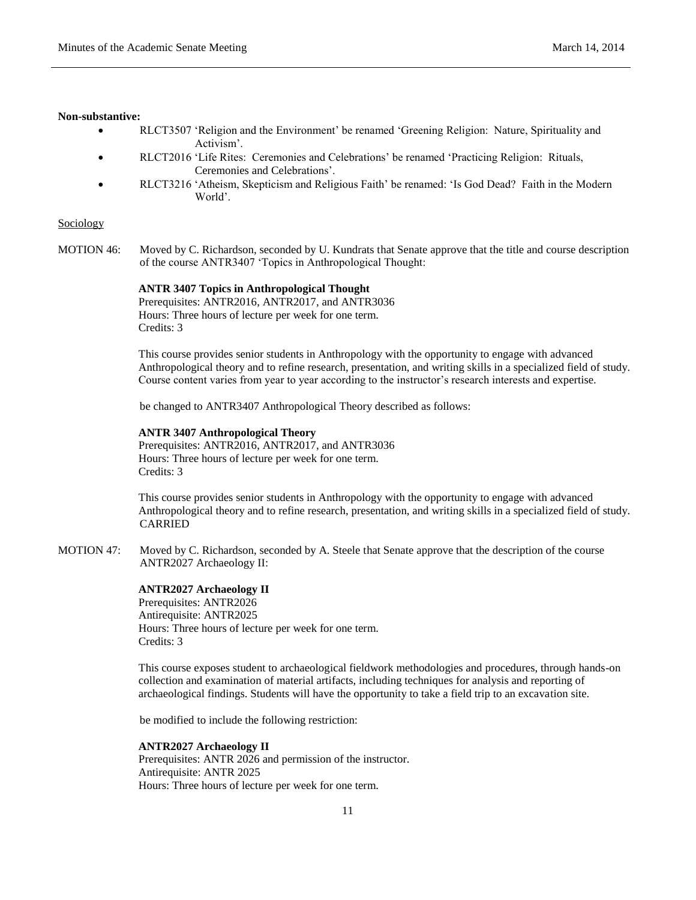- RLCT3507 'Religion and the Environment' be renamed 'Greening Religion: Nature, Spirituality and Activism'.
- RLCT2016 'Life Rites: Ceremonies and Celebrations' be renamed 'Practicing Religion: Rituals, Ceremonies and Celebrations'.
- RLCT3216 'Atheism, Skepticism and Religious Faith' be renamed: 'Is God Dead? Faith in the Modern World'.

#### **Sociology**

MOTION 46: Moved by C. Richardson, seconded by U. Kundrats that Senate approve that the title and course description of the course ANTR3407 'Topics in Anthropological Thought:

### **ANTR 3407 Topics in Anthropological Thought**

Prerequisites: ANTR2016, ANTR2017, and ANTR3036 Hours: Three hours of lecture per week for one term. Credits: 3

This course provides senior students in Anthropology with the opportunity to engage with advanced Anthropological theory and to refine research, presentation, and writing skills in a specialized field of study. Course content varies from year to year according to the instructor's research interests and expertise.

be changed to ANTR3407 Anthropological Theory described as follows:

### **ANTR 3407 Anthropological Theory**

Prerequisites: ANTR2016, ANTR2017, and ANTR3036 Hours: Three hours of lecture per week for one term. Credits: 3

This course provides senior students in Anthropology with the opportunity to engage with advanced Anthropological theory and to refine research, presentation, and writing skills in a specialized field of study. CARRIED

MOTION 47: Moved by C. Richardson, seconded by A. Steele that Senate approve that the description of the course ANTR2027 Archaeology II:

#### **ANTR2027 Archaeology II**

Prerequisites: ANTR2026 Antirequisite: ANTR2025 Hours: Three hours of lecture per week for one term. Credits: 3

This course exposes student to archaeological fieldwork methodologies and procedures, through hands-on collection and examination of material artifacts, including techniques for analysis and reporting of archaeological findings. Students will have the opportunity to take a field trip to an excavation site.

be modified to include the following restriction:

#### **ANTR2027 Archaeology II**

Prerequisites: ANTR 2026 and permission of the instructor. Antirequisite: ANTR 2025 Hours: Three hours of lecture per week for one term.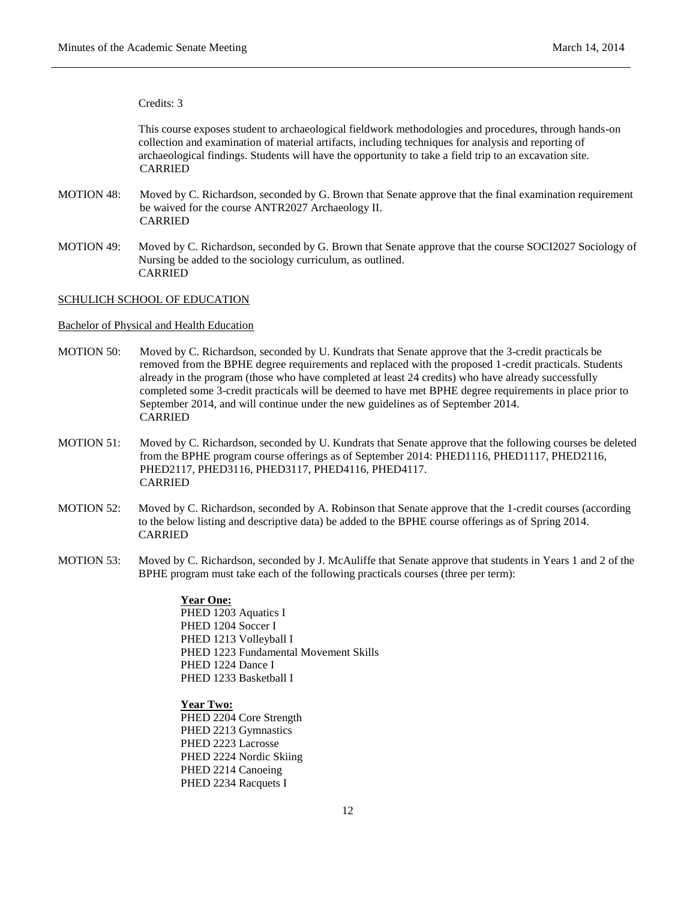#### Credits: 3

This course exposes student to archaeological fieldwork methodologies and procedures, through hands-on collection and examination of material artifacts, including techniques for analysis and reporting of archaeological findings. Students will have the opportunity to take a field trip to an excavation site. CARRIED

- MOTION 48: Moved by C. Richardson, seconded by G. Brown that Senate approve that the final examination requirement be waived for the course ANTR2027 Archaeology II. CARRIED
- MOTION 49: Moved by C. Richardson, seconded by G. Brown that Senate approve that the course SOCI2027 Sociology of Nursing be added to the sociology curriculum, as outlined. CARRIED

### SCHULICH SCHOOL OF EDUCATION

### Bachelor of Physical and Health Education

- MOTION 50: Moved by C. Richardson, seconded by U. Kundrats that Senate approve that the 3-credit practicals be removed from the BPHE degree requirements and replaced with the proposed 1-credit practicals. Students already in the program (those who have completed at least 24 credits) who have already successfully completed some 3-credit practicals will be deemed to have met BPHE degree requirements in place prior to September 2014, and will continue under the new guidelines as of September 2014. CARRIED
- MOTION 51: Moved by C. Richardson, seconded by U. Kundrats that Senate approve that the following courses be deleted from the BPHE program course offerings as of September 2014: PHED1116, PHED1117, PHED2116, PHED2117, PHED3116, PHED3117, PHED4116, PHED4117. CARRIED
- MOTION 52: Moved by C. Richardson, seconded by A. Robinson that Senate approve that the 1-credit courses (according to the below listing and descriptive data) be added to the BPHE course offerings as of Spring 2014. CARRIED
- MOTION 53: Moved by C. Richardson, seconded by J. McAuliffe that Senate approve that students in Years 1 and 2 of the BPHE program must take each of the following practicals courses (three per term):

### **Year One:**

PHED 1203 Aquatics I PHED 1204 Soccer I PHED 1213 Volleyball I PHED 1223 Fundamental Movement Skills PHED 1224 Dance I PHED 1233 Basketball I

### **Year Two:**

PHED 2204 Core Strength PHED 2213 Gymnastics PHED 2223 Lacrosse PHED 2224 Nordic Skiing PHED 2214 Canoeing PHED 2234 Racquets I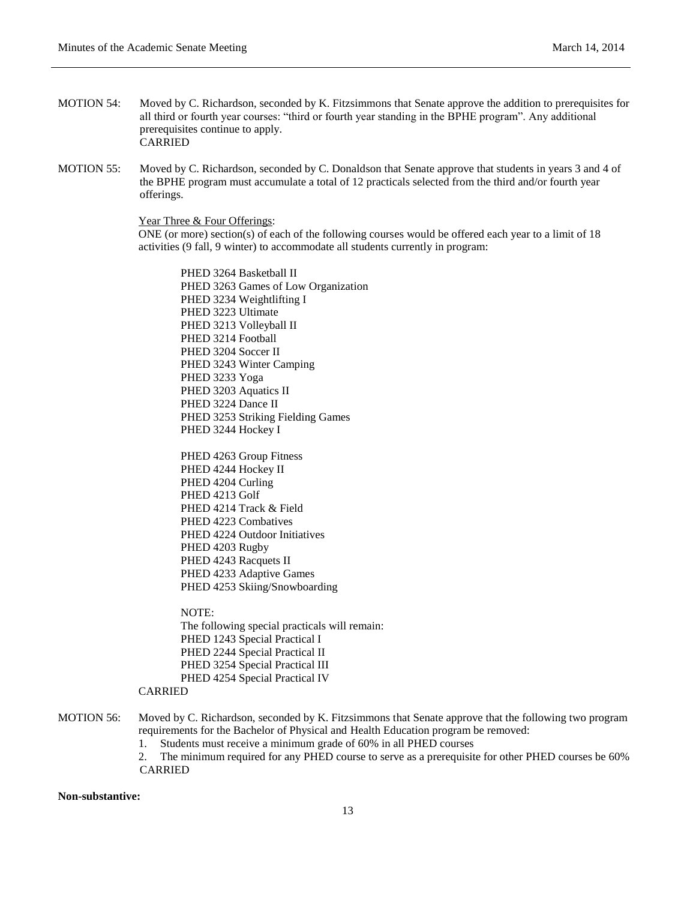- MOTION 54: Moved by C. Richardson, seconded by K. Fitzsimmons that Senate approve the addition to prerequisites for all third or fourth year courses: "third or fourth year standing in the BPHE program". Any additional prerequisites continue to apply. CARRIED
- MOTION 55: Moved by C. Richardson, seconded by C. Donaldson that Senate approve that students in years 3 and 4 of the BPHE program must accumulate a total of 12 practicals selected from the third and/or fourth year offerings.

Year Three & Four Offerings:

ONE (or more) section(s) of each of the following courses would be offered each year to a limit of 18 activities (9 fall, 9 winter) to accommodate all students currently in program:

PHED 3264 Basketball II PHED 3263 Games of Low Organization PHED 3234 Weightlifting I PHED 3223 Ultimate PHED 3213 Volleyball II PHED 3214 Football PHED 3204 Soccer II PHED 3243 Winter Camping PHED 3233 Yoga PHED 3203 Aquatics II PHED 3224 Dance II PHED 3253 Striking Fielding Games PHED 3244 Hockey I

PHED 4263 Group Fitness PHED 4244 Hockey II PHED 4204 Curling PHED 4213 Golf PHED 4214 Track & Field PHED 4223 Combatives PHED 4224 Outdoor Initiatives PHED 4203 Rugby PHED 4243 Racquets II PHED 4233 Adaptive Games PHED 4253 Skiing/Snowboarding

NOTE:

The following special practicals will remain: PHED 1243 Special Practical I PHED 2244 Special Practical II PHED 3254 Special Practical III PHED 4254 Special Practical IV

#### CARRIED

- MOTION 56: Moved by C. Richardson, seconded by K. Fitzsimmons that Senate approve that the following two program requirements for the Bachelor of Physical and Health Education program be removed:
	- 1. Students must receive a minimum grade of 60% in all PHED courses
	- 2. The minimum required for any PHED course to serve as a prerequisite for other PHED courses be 60% CARRIED

**Non-substantive:**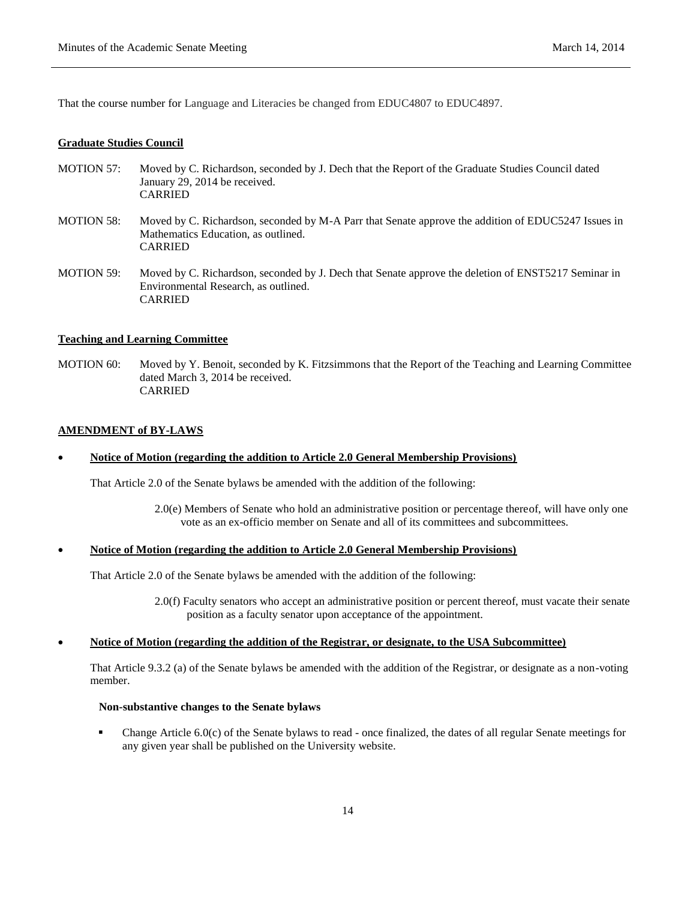That the course number for Language and Literacies be changed from EDUC4807 to EDUC4897.

### **Graduate Studies Council**

- MOTION 57: Moved by C. Richardson, seconded by J. Dech that the Report of the Graduate Studies Council dated January 29, 2014 be received. CARRIED
- MOTION 58: Moved by C. Richardson, seconded by M-A Parr that Senate approve the addition of EDUC5247 Issues in Mathematics Education, as outlined. CARRIED
- MOTION 59: Moved by C. Richardson, seconded by J. Dech that Senate approve the deletion of ENST5217 Seminar in Environmental Research, as outlined. CARRIED

#### **Teaching and Learning Committee**

MOTION 60: Moved by Y. Benoit, seconded by K. Fitzsimmons that the Report of the Teaching and Learning Committee dated March 3, 2014 be received. CARRIED

### **AMENDMENT of BY-LAWS**

### **Notice of Motion (regarding the addition to Article 2.0 General Membership Provisions)**

That Article 2.0 of the Senate bylaws be amended with the addition of the following:

2.0(e) Members of Senate who hold an administrative position or percentage thereof, will have only one vote as an ex-officio member on Senate and all of its committees and subcommittees.

### **Notice of Motion (regarding the addition to Article 2.0 General Membership Provisions)**

That Article 2.0 of the Senate bylaws be amended with the addition of the following:

2.0(f) Faculty senators who accept an administrative position or percent thereof, must vacate their senate position as a faculty senator upon acceptance of the appointment.

#### **Notice of Motion (regarding the addition of the Registrar, or designate, to the USA Subcommittee)**

That Article 9.3.2 (a) of the Senate bylaws be amended with the addition of the Registrar, or designate as a non-voting member.

### **Non-substantive changes to the Senate bylaws**

 Change Article 6.0(c) of the Senate bylaws to read - once finalized, the dates of all regular Senate meetings for any given year shall be published on the University website.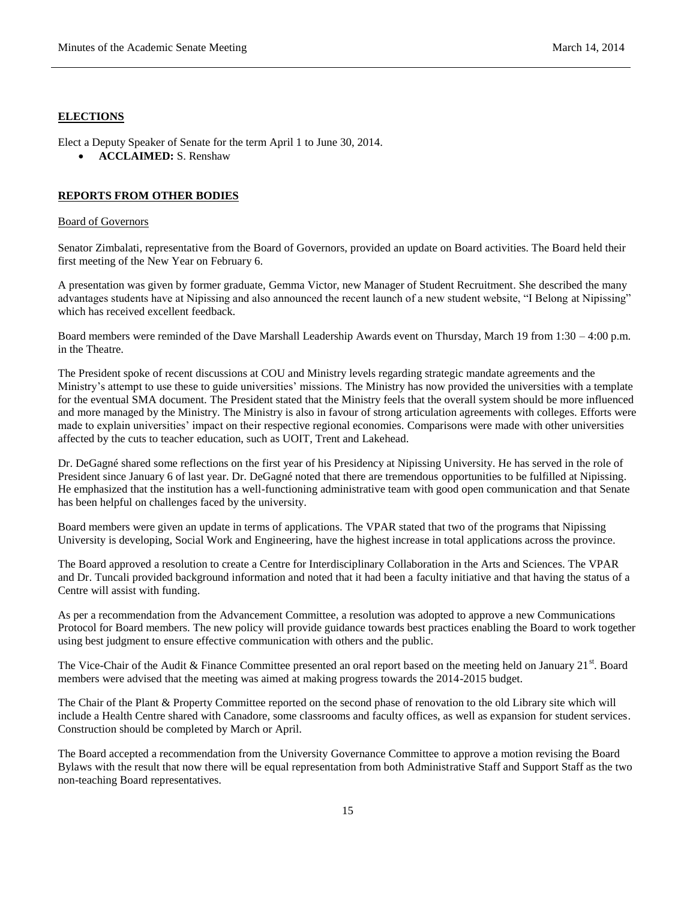#### **ELECTIONS**

Elect a Deputy Speaker of Senate for the term April 1 to June 30, 2014.

**ACCLAIMED:** S. Renshaw

### **REPORTS FROM OTHER BODIES**

#### Board of Governors

Senator Zimbalati, representative from the Board of Governors, provided an update on Board activities. The Board held their first meeting of the New Year on February 6.

A presentation was given by former graduate, Gemma Victor, new Manager of Student Recruitment. She described the many advantages students have at Nipissing and also announced the recent launch of a new student website, "I Belong at Nipissing" which has received excellent feedback.

Board members were reminded of the Dave Marshall Leadership Awards event on Thursday, March 19 from 1:30 – 4:00 p.m. in the Theatre.

The President spoke of recent discussions at COU and Ministry levels regarding strategic mandate agreements and the Ministry's attempt to use these to guide universities' missions. The Ministry has now provided the universities with a template for the eventual SMA document. The President stated that the Ministry feels that the overall system should be more influenced and more managed by the Ministry. The Ministry is also in favour of strong articulation agreements with colleges. Efforts were made to explain universities' impact on their respective regional economies. Comparisons were made with other universities affected by the cuts to teacher education, such as UOIT, Trent and Lakehead.

Dr. DeGagné shared some reflections on the first year of his Presidency at Nipissing University. He has served in the role of President since January 6 of last year. Dr. DeGagné noted that there are tremendous opportunities to be fulfilled at Nipissing. He emphasized that the institution has a well-functioning administrative team with good open communication and that Senate has been helpful on challenges faced by the university.

Board members were given an update in terms of applications. The VPAR stated that two of the programs that Nipissing University is developing, Social Work and Engineering, have the highest increase in total applications across the province.

The Board approved a resolution to create a Centre for Interdisciplinary Collaboration in the Arts and Sciences. The VPAR and Dr. Tuncali provided background information and noted that it had been a faculty initiative and that having the status of a Centre will assist with funding.

As per a recommendation from the Advancement Committee, a resolution was adopted to approve a new Communications Protocol for Board members. The new policy will provide guidance towards best practices enabling the Board to work together using best judgment to ensure effective communication with others and the public.

The Vice-Chair of the Audit & Finance Committee presented an oral report based on the meeting held on January 21<sup>st</sup>. Board members were advised that the meeting was aimed at making progress towards the 2014-2015 budget.

The Chair of the Plant & Property Committee reported on the second phase of renovation to the old Library site which will include a Health Centre shared with Canadore, some classrooms and faculty offices, as well as expansion for student services. Construction should be completed by March or April.

The Board accepted a recommendation from the University Governance Committee to approve a motion revising the Board Bylaws with the result that now there will be equal representation from both Administrative Staff and Support Staff as the two non-teaching Board representatives.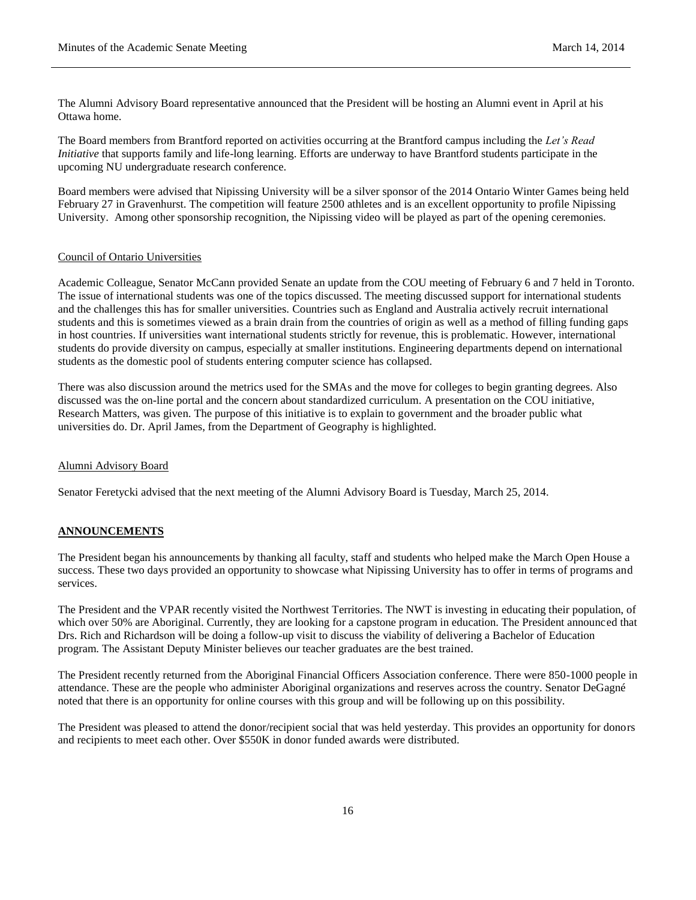The Alumni Advisory Board representative announced that the President will be hosting an Alumni event in April at his Ottawa home.

The Board members from Brantford reported on activities occurring at the Brantford campus including the *Let's Read Initiative* that supports family and life-long learning. Efforts are underway to have Brantford students participate in the upcoming NU undergraduate research conference.

Board members were advised that Nipissing University will be a silver sponsor of the 2014 Ontario Winter Games being held February 27 in Gravenhurst. The competition will feature 2500 athletes and is an excellent opportunity to profile Nipissing University. Among other sponsorship recognition, the Nipissing video will be played as part of the opening ceremonies.

#### Council of Ontario Universities

Academic Colleague, Senator McCann provided Senate an update from the COU meeting of February 6 and 7 held in Toronto. The issue of international students was one of the topics discussed. The meeting discussed support for international students and the challenges this has for smaller universities. Countries such as England and Australia actively recruit international students and this is sometimes viewed as a brain drain from the countries of origin as well as a method of filling funding gaps in host countries. If universities want international students strictly for revenue, this is problematic. However, international students do provide diversity on campus, especially at smaller institutions. Engineering departments depend on international students as the domestic pool of students entering computer science has collapsed.

There was also discussion around the metrics used for the SMAs and the move for colleges to begin granting degrees. Also discussed was the on-line portal and the concern about standardized curriculum. A presentation on the COU initiative, Research Matters, was given. The purpose of this initiative is to explain to government and the broader public what universities do. Dr. April James, from the Department of Geography is highlighted.

### Alumni Advisory Board

Senator Feretycki advised that the next meeting of the Alumni Advisory Board is Tuesday, March 25, 2014.

### **ANNOUNCEMENTS**

The President began his announcements by thanking all faculty, staff and students who helped make the March Open House a success. These two days provided an opportunity to showcase what Nipissing University has to offer in terms of programs and services.

The President and the VPAR recently visited the Northwest Territories. The NWT is investing in educating their population, of which over 50% are Aboriginal. Currently, they are looking for a capstone program in education. The President announced that Drs. Rich and Richardson will be doing a follow-up visit to discuss the viability of delivering a Bachelor of Education program. The Assistant Deputy Minister believes our teacher graduates are the best trained.

The President recently returned from the Aboriginal Financial Officers Association conference. There were 850-1000 people in attendance. These are the people who administer Aboriginal organizations and reserves across the country. Senator DeGagné noted that there is an opportunity for online courses with this group and will be following up on this possibility.

The President was pleased to attend the donor/recipient social that was held yesterday. This provides an opportunity for donors and recipients to meet each other. Over \$550K in donor funded awards were distributed.